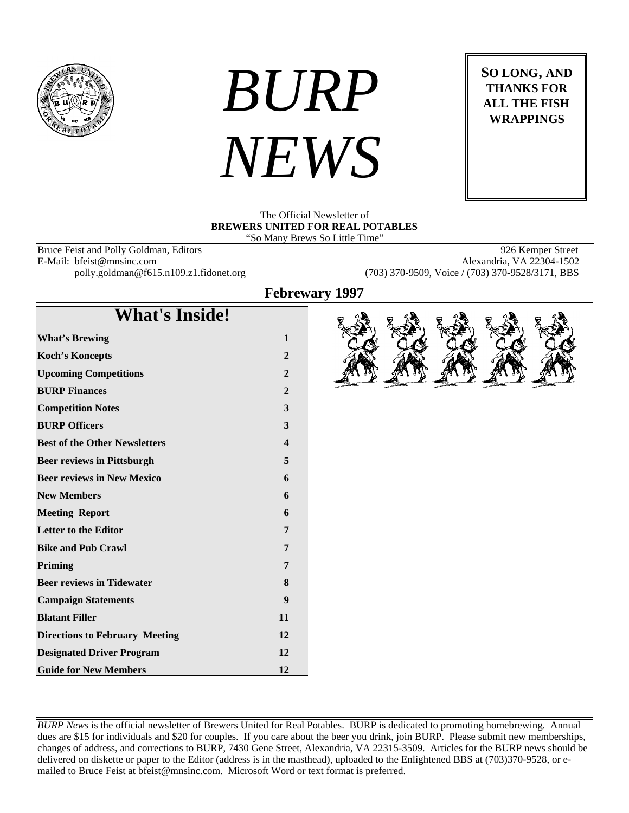

# *BURP NEWS*

**SO LONG, AND THANKS FOR ALL THE FISH WRAPPINGS**

The Official Newsletter of **BREWERS UNITED FOR REAL POTABLES** "So Many Brews So Little Time"

Bruce Feist and Polly Goldman, Editors 926 Kemper Street<br>
E-Mail: bfeist@mnsinc.com Alexandria, VA 22304-1502 E-Mail: bfeist@mnsinc.com

polly.goldman@f615.n109.z1.fidonet.org (703) 370-9509, Voice / (703) 370-9528/3171, BBS

**Febrewary 1997**

# **What's Inside!**

| <b>What's Brewing</b>                 | 1                |
|---------------------------------------|------------------|
| <b>Koch's Koncepts</b>                | $\overline{2}$   |
| <b>Upcoming Competitions</b>          | $\overline{2}$   |
| <b>BURP Finances</b>                  | $\overline{2}$   |
| <b>Competition Notes</b>              | 3                |
| <b>BURP Officers</b>                  | 3                |
| <b>Best of the Other Newsletters</b>  | $\boldsymbol{4}$ |
| <b>Beer reviews in Pittsburgh</b>     | 5                |
| <b>Beer reviews in New Mexico</b>     | 6                |
| <b>New Members</b>                    | 6                |
| <b>Meeting Report</b>                 | 6                |
| <b>Letter to the Editor</b>           | 7                |
| <b>Bike and Pub Crawl</b>             | 7                |
| Priming                               | 7                |
| <b>Beer reviews in Tidewater</b>      | 8                |
| <b>Campaign Statements</b>            | 9                |
| <b>Blatant Filler</b>                 | 11               |
| <b>Directions to February Meeting</b> | 12               |
| <b>Designated Driver Program</b>      | 12               |
| <b>Guide for New Members</b>          | 12               |

*BURP News* is the official newsletter of Brewers United for Real Potables. BURP is dedicated to promoting homebrewing. Annual dues are \$15 for individuals and \$20 for couples. If you care about the beer you drink, join BURP. Please submit new memberships, changes of address, and corrections to BURP, 7430 Gene Street, Alexandria, VA 22315-3509. Articles for the BURP news should be delivered on diskette or paper to the Editor (address is in the masthead), uploaded to the Enlightened BBS at (703)370-9528, or emailed to Bruce Feist at bfeist@mnsinc.com. Microsoft Word or text format is preferred.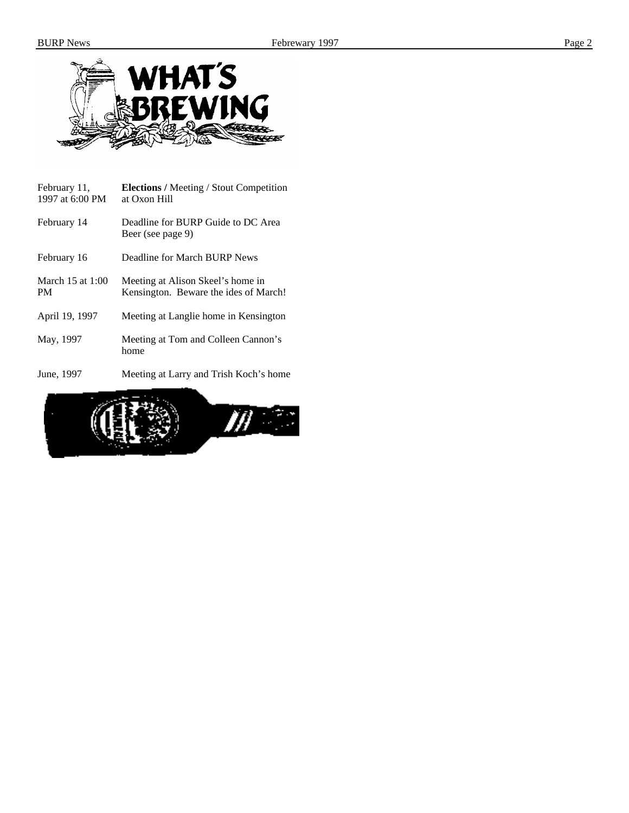

| February 11,<br>1997 at 6:00 PM | <b>Elections</b> / Meeting / Stout Competition<br>at Oxon Hill             |
|---------------------------------|----------------------------------------------------------------------------|
| February 14                     | Deadline for BURP Guide to DC Area<br>Beer (see page 9)                    |
| February 16                     | Deadline for March BURP News                                               |
| March $15$ at $1:00$<br>PМ      | Meeting at Alison Skeel's home in<br>Kensington. Beware the ides of March! |
| April 19, 1997                  | Meeting at Langlie home in Kensington                                      |
| May, 1997                       | Meeting at Tom and Colleen Cannon's<br>home                                |
| $T_{\text{max}} = 1007$         | Mostly and Laurence of Table $V$ and $\lambda$ and $\lambda$               |

June, 1997 Meeting at Larry and Trish Koch's home

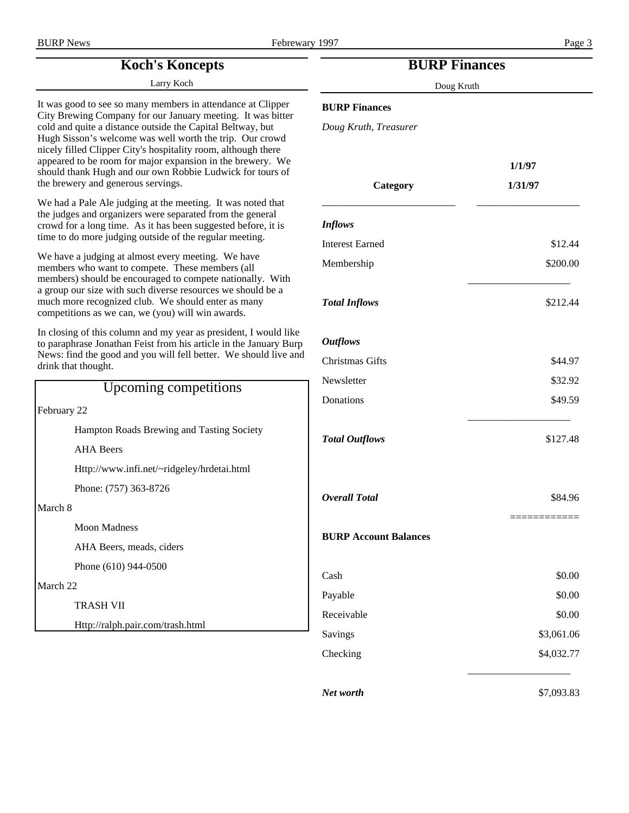# **Koch's Koncepts**

Larry Koch

It was good to see so many members in attendance at Clipper City Brewing Company for our January meeting. It was bitter cold and quite a distance outside the Capital Beltway, but Hugh Sisson's welcome was well worth the trip. Our crowd nicely filled Clipper City's hospitality room, although there appeared to be room for major expansion in the brewery. We should thank Hugh and our own Robbie Ludwick for tours of the brewery and generous servings.

We had a Pale Ale judging at the meeting. It was noted that the judges and organizers were separated from the general crowd for a long time. As it has been suggested before, it is time to do more judging outside of the regular meeting.

We have a judging at almost every meeting. We have members who want to compete. These members (all members) should be encouraged to compete nationally. With a group our size with such diverse resources we should be a much more recognized club. We should enter as many competitions as we can, we (you) will win awards.

In closing of this column and my year as president, I would like to paraphrase Jonathan Feist from his article in the January Burp News: find the good and you will fell better. We should live and drink that thought.

| Upcoming competitions                      |  |
|--------------------------------------------|--|
| February 22                                |  |
| Hampton Roads Brewing and Tasting Society  |  |
| <b>AHA</b> Beers                           |  |
| Http://www.infi.net/~ridgeley/hrdetai.html |  |
| Phone: (757) 363-8726                      |  |
| March 8                                    |  |
| <b>Moon Madness</b>                        |  |
| AHA Beers, meads, ciders                   |  |
| Phone (610) 944-0500                       |  |
| March <sub>22</sub>                        |  |
| <b>TRASH VII</b>                           |  |
| Http://ralph.pair.com/trash.html           |  |

# **BURP Finances**

Doug Kruth

#### **BURP Finances**

*Doug Kruth, Treasurer*

| Category                     | 1/1/97<br>1/31/97 |
|------------------------------|-------------------|
| <b>Inflows</b>               |                   |
| <b>Interest Earned</b>       | \$12.44           |
| Membership                   | \$200.00          |
| <b>Total Inflows</b>         | \$212.44          |
| <b>Outflows</b>              |                   |
| Christmas Gifts              | \$44.97           |
| Newsletter                   | \$32.92           |
| Donations                    | \$49.59           |
| <b>Total Outflows</b>        | \$127.48          |
| <b>Overall Total</b>         | \$84.96           |
| <b>BURP Account Balances</b> |                   |
| Cash                         | \$0.00            |
| Payable                      | \$0.00            |
| Receivable                   | \$0.00            |
| Savings                      | \$3,061.06        |
| Checking                     | \$4,032.77        |
| Net worth                    | \$7,093.83        |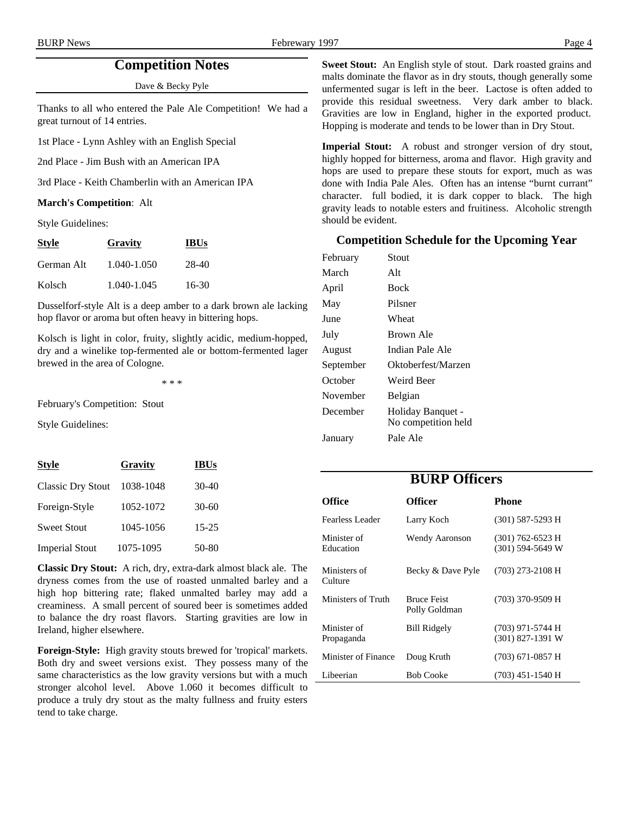# **Competition Notes**

Dave & Becky Pyle

Thanks to all who entered the Pale Ale Competition! We had a great turnout of 14 entries.

1st Place - Lynn Ashley with an English Special

2nd Place - Jim Bush with an American IPA

3rd Place - Keith Chamberlin with an American IPA

#### **March's Competition**: Alt

Style Guidelines:

| <b>Style</b> | Gravity     | <b>IBUs</b> |
|--------------|-------------|-------------|
| German Alt   | 1.040-1.050 | 28-40       |
| Kolsch       | 1.040-1.045 | 16-30       |

Dusselforf-style Alt is a deep amber to a dark brown ale lacking hop flavor or aroma but often heavy in bittering hops.

Kolsch is light in color, fruity, slightly acidic, medium-hopped, dry and a winelike top-fermented ale or bottom-fermented lager brewed in the area of Cologne.

\* \* \*

February's Competition: Stout

Style Guidelines:

| <b>Style</b>             | Gravity   | <b>IBUs</b> |
|--------------------------|-----------|-------------|
| <b>Classic Dry Stout</b> | 1038-1048 | $30-40$     |
| Foreign-Style            | 1052-1072 | $30 - 60$   |
| <b>Sweet Stout</b>       | 1045-1056 | $15 - 25$   |
| <b>Imperial Stout</b>    | 1075-1095 | 50-80       |

**Classic Dry Stout:** A rich, dry, extra-dark almost black ale. The dryness comes from the use of roasted unmalted barley and a high hop bittering rate; flaked unmalted barley may add a creaminess. A small percent of soured beer is sometimes added to balance the dry roast flavors. Starting gravities are low in Ireland, higher elsewhere.

**Foreign-Style:** High gravity stouts brewed for 'tropical' markets. Both dry and sweet versions exist. They possess many of the same characteristics as the low gravity versions but with a much stronger alcohol level. Above 1.060 it becomes difficult to produce a truly dry stout as the malty fullness and fruity esters tend to take charge.

**Sweet Stout:** An English style of stout. Dark roasted grains and malts dominate the flavor as in dry stouts, though generally some unfermented sugar is left in the beer. Lactose is often added to provide this residual sweetness. Very dark amber to black. Gravities are low in England, higher in the exported product. Hopping is moderate and tends to be lower than in Dry Stout.

**Imperial Stout:** A robust and stronger version of dry stout, highly hopped for bitterness, aroma and flavor. High gravity and hops are used to prepare these stouts for export, much as was done with India Pale Ales. Often has an intense "burnt currant" character. full bodied, it is dark copper to black. The high gravity leads to notable esters and fruitiness. Alcoholic strength should be evident.

#### **Competition Schedule for the Upcoming Year**

| February  | Stout                                    |
|-----------|------------------------------------------|
| March     | Alt                                      |
| April     | Bock                                     |
| May       | Pilsner                                  |
| June      | Wheat                                    |
| July      | Brown Ale                                |
| August    | Indian Pale Ale                          |
| September | Oktoberfest/Marzen                       |
| October   | Weird Beer                               |
| November  | <b>Belgian</b>                           |
| December  | Holiday Banquet -<br>No competition held |
| January   | Pale Ale                                 |

# **BURP Officers**

| Office                    | <b>Officer</b>                      | <b>Phone</b>                             |
|---------------------------|-------------------------------------|------------------------------------------|
| Fearless Leader           | Larry Koch                          | $(301)$ 587-5293 H                       |
| Minister of<br>Education  | <b>Wendy Aaronson</b>               | $(301)$ 762-6523 H<br>$(301)$ 594-5649 W |
| Ministers of<br>Culture   | Becky & Dave Pyle                   | $(703)$ 273-2108 H                       |
| Ministers of Truth        | <b>Bruce Feist</b><br>Polly Goldman | (703) 370-9509 H                         |
| Minister of<br>Propaganda | <b>Bill Ridgely</b>                 | $(703)$ 971-5744 H<br>$(301)$ 827-1391 W |
| Minister of Finance       | Doug Kruth                          | $(703)$ 671-0857 H                       |
| Libeerian                 | <b>Bob Cooke</b>                    | $(703)$ 451-1540 H                       |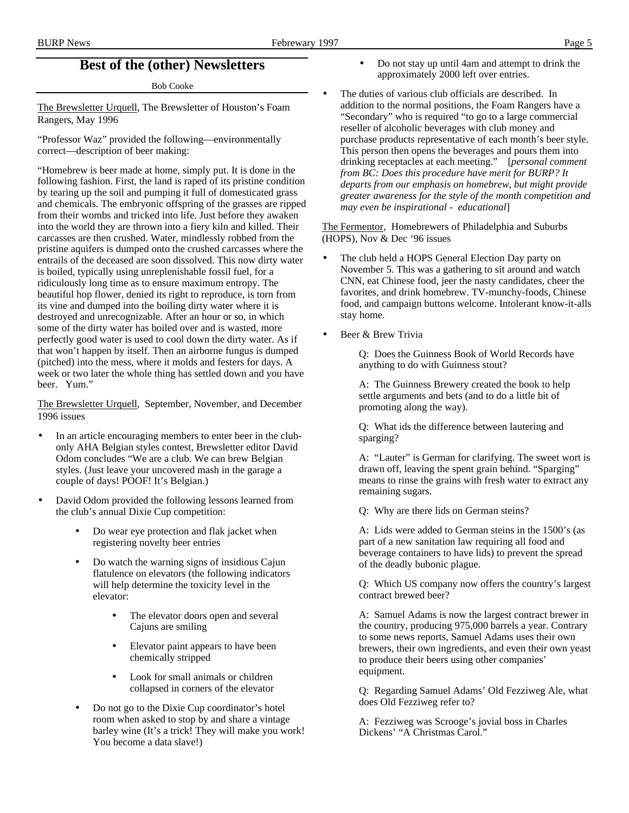# **Best of the (other) Newsletters**

Bob Cooke

The Brewsletter Urquell, The Brewsletter of Houston's Foam Rangers, May 1996

"Professor Waz" provided the following—environmentally correct—description of beer making:

"Homebrew is beer made at home, simply put. It is done in the following fashion. First, the land is raped of its pristine condition by tearing up the soil and pumping it full of domesticated grass and chemicals. The embryonic offspring of the grasses are ripped from their wombs and tricked into life. Just before they awaken into the world they are thrown into a fiery kiln and killed. Their carcasses are then crushed. Water, mindlessly robbed from the pristine aquifers is dumped onto the crushed carcasses where the entrails of the deceased are soon dissolved. This now dirty water is boiled, typically using unreplenishable fossil fuel, for a ridiculously long time as to ensure maximum entropy. The beautiful hop flower, denied its right to reproduce, is torn from its vine and dumped into the boiling dirty water where it is destroyed and unrecognizable. After an hour or so, in which some of the dirty water has boiled over and is wasted, more perfectly good water is used to cool down the dirty water. As if that won't happen by itself. Then an airborne fungus is dumped (pitched) into the mess, where it molds and festers for days. A week or two later the whole thing has settled down and you have beer. Yum."

The Brewsletter Urquell, September, November, and December 1996 issues

- In an article encouraging members to enter beer in the clubonly AHA Belgian styles contest, Brewsletter editor David Odom concludes "We are a club. We can brew Belgian styles. (Just leave your uncovered mash in the garage a couple of days! POOF! It's Belgian.)
- David Odom provided the following lessons learned from the club's annual Dixie Cup competition:
	- Do wear eye protection and flak jacket when registering novelty beer entries
	- Do watch the warning signs of insidious Cajun flatulence on elevators (the following indicators will help determine the toxicity level in the elevator:
		- The elevator doors open and several Cajuns are smiling
		- Elevator paint appears to have been chemically stripped
		- Look for small animals or children collapsed in corners of the elevator
	- Do not go to the Dixie Cup coordinator's hotel room when asked to stop by and share a vintage barley wine (It's a trick! They will make you work! You become a data slave!)

• Do not stay up until 4am and attempt to drink the approximately 2000 left over entries.

The duties of various club officials are described. In addition to the normal positions, the Foam Rangers have a "Secondary" who is required "to go to a large commercial reseller of alcoholic beverages with club money and purchase products representative of each month's beer style. This person then opens the beverages and pours them into drinking receptacles at each meeting." [*personal comment from BC: Does this procedure have merit for BURP? It departs from our emphasis on homebrew, but might provide greater awareness for the style of the month competition and may even be inspirational - educational*]

The Fermentor, Homebrewers of Philadelphia and Suburbs (HOPS), Nov & Dec '96 issues

- The club held a HOPS General Election Day party on November 5. This was a gathering to sit around and watch CNN, eat Chinese food, jeer the nasty candidates, cheer the favorites, and drink homebrew. TV-munchy-foods, Chinese food, and campaign buttons welcome. Intolerant know-it-alls stay home.
- Beer & Brew Trivia

Q: Does the Guinness Book of World Records have anything to do with Guinness stout?

A: The Guinness Brewery created the book to help settle arguments and bets (and to do a little bit of promoting along the way).

Q: What ids the difference between lautering and sparging?

A: "Lauter" is German for clarifying. The sweet wort is drawn off, leaving the spent grain behind. "Sparging" means to rinse the grains with fresh water to extract any remaining sugars.

Q: Why are there lids on German steins?

A: Lids were added to German steins in the 1500's (as part of a new sanitation law requiring all food and beverage containers to have lids) to prevent the spread of the deadly bubonic plague.

Q: Which US company now offers the country's largest contract brewed beer?

A: Samuel Adams is now the largest contract brewer in the country, producing 975,000 barrels a year. Contrary to some news reports, Samuel Adams uses their own brewers, their own ingredients, and even their own yeast to produce their beers using other companies' equipment.

Q: Regarding Samuel Adams' Old Fezziweg Ale, what does Old Fezziweg refer to?

A: Fezziweg was Scrooge's jovial boss in Charles Dickens' "A Christmas Carol."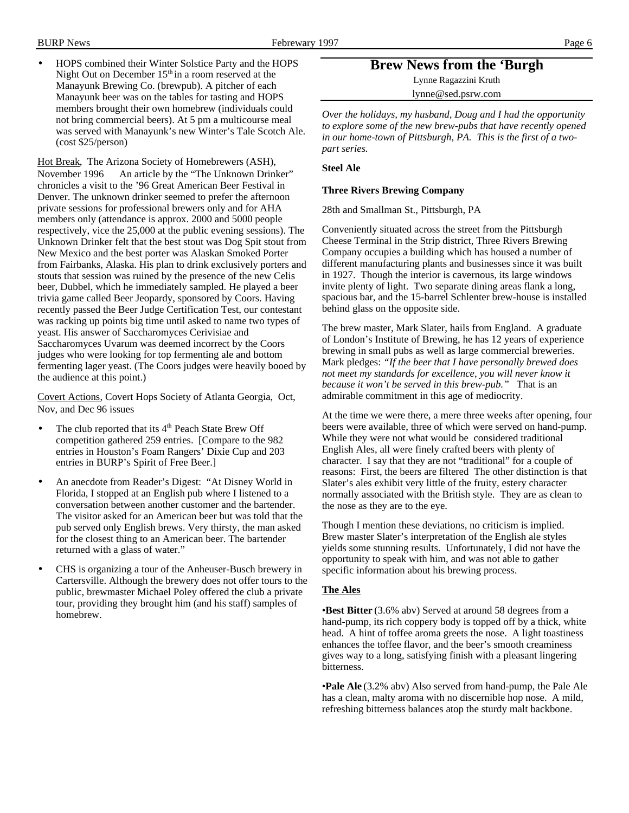• HOPS combined their Winter Solstice Party and the HOPS Night Out on December  $15<sup>th</sup>$  in a room reserved at the Manayunk Brewing Co. (brewpub). A pitcher of each Manayunk beer was on the tables for tasting and HOPS members brought their own homebrew (individuals could not bring commercial beers). At 5 pm a multicourse meal was served with Manayunk's new Winter's Tale Scotch Ale. (cost \$25/person)

Hot Break, The Arizona Society of Homebrewers (ASH), November 1996 An article by the "The Unknown Drinker" chronicles a visit to the '96 Great American Beer Festival in Denver. The unknown drinker seemed to prefer the afternoon private sessions for professional brewers only and for AHA members only (attendance is approx. 2000 and 5000 people respectively, vice the 25,000 at the public evening sessions). The Unknown Drinker felt that the best stout was Dog Spit stout from New Mexico and the best porter was Alaskan Smoked Porter from Fairbanks, Alaska. His plan to drink exclusively porters and stouts that session was ruined by the presence of the new Celis beer, Dubbel, which he immediately sampled. He played a beer trivia game called Beer Jeopardy, sponsored by Coors. Having recently passed the Beer Judge Certification Test, our contestant was racking up points big time until asked to name two types of yeast. His answer of Saccharomyces Cerivisiae and Saccharomyces Uvarum was deemed incorrect by the Coors judges who were looking for top fermenting ale and bottom fermenting lager yeast. (The Coors judges were heavily booed by the audience at this point.)

Covert Actions, Covert Hops Society of Atlanta Georgia, Oct, Nov, and Dec 96 issues

- The club reported that its 4<sup>th</sup> Peach State Brew Off competition gathered 259 entries. [Compare to the 982 entries in Houston's Foam Rangers' Dixie Cup and 203 entries in BURP's Spirit of Free Beer.]
- An anecdote from Reader's Digest: "At Disney World in Florida, I stopped at an English pub where I listened to a conversation between another customer and the bartender. The visitor asked for an American beer but was told that the pub served only English brews. Very thirsty, the man asked for the closest thing to an American beer. The bartender returned with a glass of water."
- CHS is organizing a tour of the Anheuser-Busch brewery in Cartersville. Although the brewery does not offer tours to the public, brewmaster Michael Poley offered the club a private tour, providing they brought him (and his staff) samples of homebrew.

**Brew News from the 'Burgh**

Lynne Ragazzini Kruth

lynne@sed.psrw.com

*Over the holidays, my husband, Doug and I had the opportunity to explore some of the new brew-pubs that have recently opened in our home-town of Pittsburgh, PA. This is the first of a twopart series.*

#### **Steel Ale**

#### **Three Rivers Brewing Company**

28th and Smallman St., Pittsburgh, PA

Conveniently situated across the street from the Pittsburgh Cheese Terminal in the Strip district, Three Rivers Brewing Company occupies a building which has housed a number of different manufacturing plants and businesses since it was built in 1927. Though the interior is cavernous, its large windows invite plenty of light. Two separate dining areas flank a long, spacious bar, and the 15-barrel Schlenter brew-house is installed behind glass on the opposite side.

The brew master, Mark Slater, hails from England. A graduate of London's Institute of Brewing, he has 12 years of experience brewing in small pubs as well as large commercial breweries. Mark pledges: *"If the beer that I have personally brewed does not meet my standards for excellence, you will never know it because it won't be served in this brew-pub."* That is an admirable commitment in this age of mediocrity.

At the time we were there, a mere three weeks after opening, four beers were available, three of which were served on hand-pump. While they were not what would be considered traditional English Ales, all were finely crafted beers with plenty of character. I say that they are not "traditional" for a couple of reasons: First, the beers are filtered The other distinction is that Slater's ales exhibit very little of the fruity, estery character normally associated with the British style. They are as clean to the nose as they are to the eye.

Though I mention these deviations, no criticism is implied. Brew master Slater's interpretation of the English ale styles yields some stunning results. Unfortunately, I did not have the opportunity to speak with him, and was not able to gather specific information about his brewing process.

#### **The Ales**

•**Best Bitter** (3.6% abv) Served at around 58 degrees from a hand-pump, its rich coppery body is topped off by a thick, white head. A hint of toffee aroma greets the nose. A light toastiness enhances the toffee flavor, and the beer's smooth creaminess gives way to a long, satisfying finish with a pleasant lingering bitterness.

•**Pale Ale** (3.2% abv) Also served from hand-pump, the Pale Ale has a clean, malty aroma with no discernible hop nose. A mild, refreshing bitterness balances atop the sturdy malt backbone.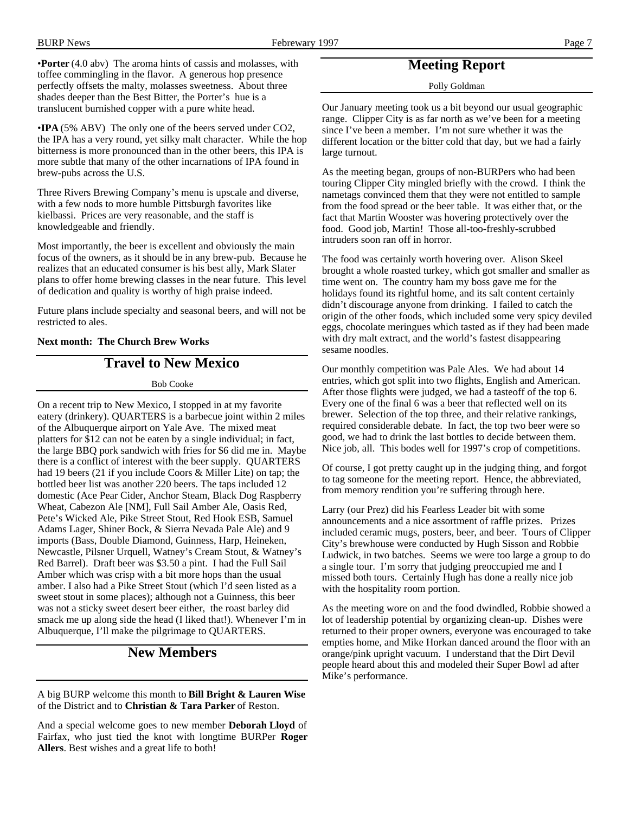•**Porter** (4.0 abv) The aroma hints of cassis and molasses, with toffee commingling in the flavor. A generous hop presence perfectly offsets the malty, molasses sweetness. About three shades deeper than the Best Bitter, the Porter's hue is a translucent burnished copper with a pure white head.

•**IPA** (5% ABV) The only one of the beers served under CO2, the IPA has a very round, yet silky malt character. While the hop bitterness is more pronounced than in the other beers, this IPA is more subtle that many of the other incarnations of IPA found in brew-pubs across the U.S.

Three Rivers Brewing Company's menu is upscale and diverse, with a few nods to more humble Pittsburgh favorites like kielbassi. Prices are very reasonable, and the staff is knowledgeable and friendly.

Most importantly, the beer is excellent and obviously the main focus of the owners, as it should be in any brew-pub. Because he realizes that an educated consumer is his best ally, Mark Slater plans to offer home brewing classes in the near future. This level of dedication and quality is worthy of high praise indeed.

Future plans include specialty and seasonal beers, and will not be restricted to ales.

#### **Next month: The Church Brew Works**

# **Travel to New Mexico**

#### Bob Cooke

On a recent trip to New Mexico, I stopped in at my favorite eatery (drinkery). QUARTERS is a barbecue joint within 2 miles of the Albuquerque airport on Yale Ave. The mixed meat platters for \$12 can not be eaten by a single individual; in fact, the large BBQ pork sandwich with fries for \$6 did me in. Maybe there is a conflict of interest with the beer supply. QUARTERS had 19 beers (21 if you include Coors & Miller Lite) on tap; the bottled beer list was another 220 beers. The taps included 12 domestic (Ace Pear Cider, Anchor Steam, Black Dog Raspberry Wheat, Cabezon Ale [NM], Full Sail Amber Ale, Oasis Red, Pete's Wicked Ale, Pike Street Stout, Red Hook ESB, Samuel Adams Lager, Shiner Bock, & Sierra Nevada Pale Ale) and 9 imports (Bass, Double Diamond, Guinness, Harp, Heineken, Newcastle, Pilsner Urquell, Watney's Cream Stout, & Watney's Red Barrel). Draft beer was \$3.50 a pint. I had the Full Sail Amber which was crisp with a bit more hops than the usual amber. I also had a Pike Street Stout (which I'd seen listed as a sweet stout in some places); although not a Guinness, this beer was not a sticky sweet desert beer either, the roast barley did smack me up along side the head (I liked that!). Whenever I'm in Albuquerque, I'll make the pilgrimage to QUARTERS.

### **New Members**

A big BURP welcome this month to **Bill Bright & Lauren Wise** of the District and to **Christian & Tara Parker** of Reston.

And a special welcome goes to new member **Deborah Lloyd** of Fairfax, who just tied the knot with longtime BURPer **Roger Allers**. Best wishes and a great life to both!

# **Meeting Report**

Polly Goldman

Our January meeting took us a bit beyond our usual geographic range. Clipper City is as far north as we've been for a meeting since I've been a member. I'm not sure whether it was the different location or the bitter cold that day, but we had a fairly large turnout.

As the meeting began, groups of non-BURPers who had been touring Clipper City mingled briefly with the crowd. I think the nametags convinced them that they were not entitled to sample from the food spread or the beer table. It was either that, or the fact that Martin Wooster was hovering protectively over the food. Good job, Martin! Those all-too-freshly-scrubbed intruders soon ran off in horror.

The food was certainly worth hovering over. Alison Skeel brought a whole roasted turkey, which got smaller and smaller as time went on. The country ham my boss gave me for the holidays found its rightful home, and its salt content certainly didn't discourage anyone from drinking. I failed to catch the origin of the other foods, which included some very spicy deviled eggs, chocolate meringues which tasted as if they had been made with dry malt extract, and the world's fastest disappearing sesame noodles.

Our monthly competition was Pale Ales. We had about 14 entries, which got split into two flights, English and American. After those flights were judged, we had a tasteoff of the top 6. Every one of the final 6 was a beer that reflected well on its brewer. Selection of the top three, and their relative rankings, required considerable debate. In fact, the top two beer were so good, we had to drink the last bottles to decide between them. Nice job, all. This bodes well for 1997's crop of competitions.

Of course, I got pretty caught up in the judging thing, and forgot to tag someone for the meeting report. Hence, the abbreviated, from memory rendition you're suffering through here.

Larry (our Prez) did his Fearless Leader bit with some announcements and a nice assortment of raffle prizes. Prizes included ceramic mugs, posters, beer, and beer. Tours of Clipper City's brewhouse were conducted by Hugh Sisson and Robbie Ludwick, in two batches. Seems we were too large a group to do a single tour. I'm sorry that judging preoccupied me and I missed both tours. Certainly Hugh has done a really nice job with the hospitality room portion.

As the meeting wore on and the food dwindled, Robbie showed a lot of leadership potential by organizing clean-up. Dishes were returned to their proper owners, everyone was encouraged to take empties home, and Mike Horkan danced around the floor with an orange/pink upright vacuum. I understand that the Dirt Devil people heard about this and modeled their Super Bowl ad after Mike's performance.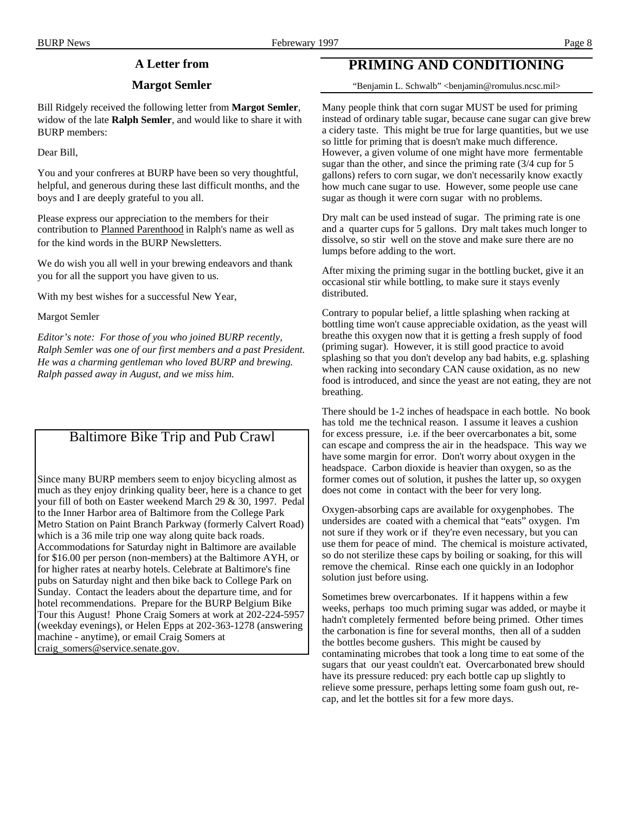# **A Letter from**

#### **Margot Semler**

Bill Ridgely received the following letter from **Margot Semler**, widow of the late **Ralph Semler**, and would like to share it with BURP members:

Dear Bill,

You and your confreres at BURP have been so very thoughtful, helpful, and generous during these last difficult months, and the boys and I are deeply grateful to you all.

Please express our appreciation to the members for their contribution to Planned Parenthood in Ralph's name as well as for the kind words in the BURP Newsletters.

We do wish you all well in your brewing endeavors and thank you for all the support you have given to us.

With my best wishes for a successful New Year,

Margot Semler

*Editor's note: For those of you who joined BURP recently, Ralph Semler was one of our first members and a past President. He was a charming gentleman who loved BURP and brewing. Ralph passed away in August, and we miss him.*

# Baltimore Bike Trip and Pub Crawl

Since many BURP members seem to enjoy bicycling almost as much as they enjoy drinking quality beer, here is a chance to get your fill of both on Easter weekend March 29 & 30, 1997. Pedal to the Inner Harbor area of Baltimore from the College Park Metro Station on Paint Branch Parkway (formerly Calvert Road) which is a 36 mile trip one way along quite back roads. Accommodations for Saturday night in Baltimore are available for \$16.00 per person (non-members) at the Baltimore AYH, or for higher rates at nearby hotels. Celebrate at Baltimore's fine pubs on Saturday night and then bike back to College Park on Sunday. Contact the leaders about the departure time, and for hotel recommendations. Prepare for the BURP Belgium Bike Tour this August! Phone Craig Somers at work at 202-224-5957 (weekday evenings), or Helen Epps at 202-363-1278 (answering machine - anytime), or email Craig Somers at craig\_somers@service.senate.gov.

# **PRIMING AND CONDITIONING**

"Benjamin L. Schwalb" <benjamin@romulus.ncsc.mil>

Many people think that corn sugar MUST be used for priming instead of ordinary table sugar, because cane sugar can give brew a cidery taste. This might be true for large quantities, but we use so little for priming that is doesn't make much difference. However, a given volume of one might have more fermentable sugar than the other, and since the priming rate (3/4 cup for 5 gallons) refers to corn sugar, we don't necessarily know exactly how much cane sugar to use. However, some people use cane sugar as though it were corn sugar with no problems.

Dry malt can be used instead of sugar. The priming rate is one and a quarter cups for 5 gallons. Dry malt takes much longer to dissolve, so stir well on the stove and make sure there are no lumps before adding to the wort.

After mixing the priming sugar in the bottling bucket, give it an occasional stir while bottling, to make sure it stays evenly distributed.

Contrary to popular belief, a little splashing when racking at bottling time won't cause appreciable oxidation, as the yeast will breathe this oxygen now that it is getting a fresh supply of food (priming sugar). However, it is still good practice to avoid splashing so that you don't develop any bad habits, e.g. splashing when racking into secondary CAN cause oxidation, as no new food is introduced, and since the yeast are not eating, they are not breathing.

There should be 1-2 inches of headspace in each bottle. No book has told me the technical reason. I assume it leaves a cushion for excess pressure, i.e. if the beer overcarbonates a bit, some can escape and compress the air in the headspace. This way we have some margin for error. Don't worry about oxygen in the headspace. Carbon dioxide is heavier than oxygen, so as the former comes out of solution, it pushes the latter up, so oxygen does not come in contact with the beer for very long.

Oxygen-absorbing caps are available for oxygenphobes. The undersides are coated with a chemical that "eats" oxygen. I'm not sure if they work or if they're even necessary, but you can use them for peace of mind. The chemical is moisture activated, so do not sterilize these caps by boiling or soaking, for this will remove the chemical. Rinse each one quickly in an Iodophor solution just before using.

Sometimes brew overcarbonates. If it happens within a few weeks, perhaps too much priming sugar was added, or maybe it hadn't completely fermented before being primed. Other times the carbonation is fine for several months, then all of a sudden the bottles become gushers. This might be caused by contaminating microbes that took a long time to eat some of the sugars that our yeast couldn't eat. Overcarbonated brew should have its pressure reduced: pry each bottle cap up slightly to relieve some pressure, perhaps letting some foam gush out, recap, and let the bottles sit for a few more days.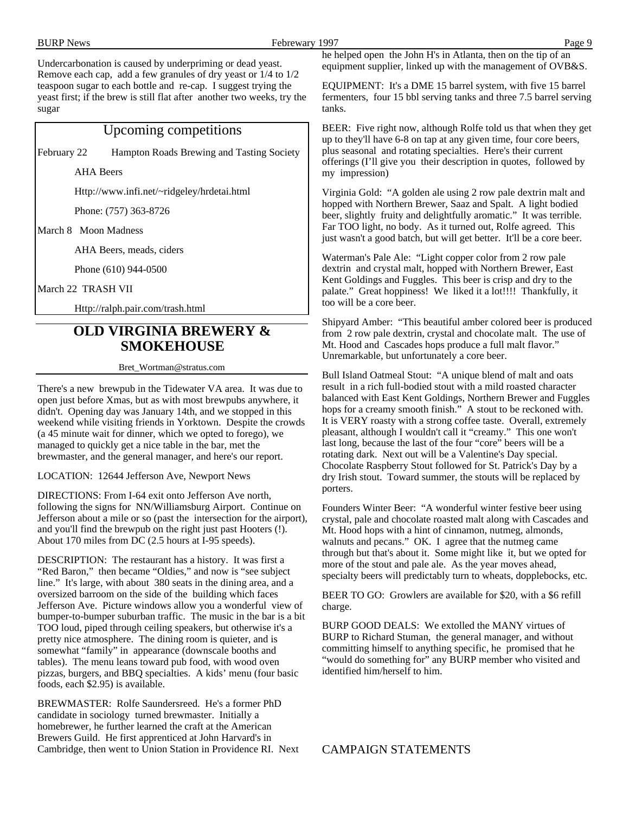| <b>BURP News</b><br>Febrewary 1997                                                                                                                                                                                                                                                                                                                                                                                                                        | Page 9                                                                                                                                                                                                                                                                                                                                                                                                                                                                                                                                                                                                    |
|-----------------------------------------------------------------------------------------------------------------------------------------------------------------------------------------------------------------------------------------------------------------------------------------------------------------------------------------------------------------------------------------------------------------------------------------------------------|-----------------------------------------------------------------------------------------------------------------------------------------------------------------------------------------------------------------------------------------------------------------------------------------------------------------------------------------------------------------------------------------------------------------------------------------------------------------------------------------------------------------------------------------------------------------------------------------------------------|
| Undercarbonation is caused by underpriming or dead yeast.<br>Remove each cap, add a few granules of dry yeast or 1/4 to 1/2                                                                                                                                                                                                                                                                                                                               | he helped open the John H's in Atlanta, then on the tip of an<br>equipment supplier, linked up with the management of OVB&S.                                                                                                                                                                                                                                                                                                                                                                                                                                                                              |
| teaspoon sugar to each bottle and re-cap. I suggest trying the<br>yeast first; if the brew is still flat after another two weeks, try the<br>sugar                                                                                                                                                                                                                                                                                                        | EQUIPMENT: It's a DME 15 barrel system, with five 15 barrel<br>fermenters, four 15 bbl serving tanks and three 7.5 barrel serving<br>tanks.                                                                                                                                                                                                                                                                                                                                                                                                                                                               |
| Upcoming competitions                                                                                                                                                                                                                                                                                                                                                                                                                                     | BEER: Five right now, although Rolfe told us that when they get                                                                                                                                                                                                                                                                                                                                                                                                                                                                                                                                           |
| Hampton Roads Brewing and Tasting Society<br>February 22                                                                                                                                                                                                                                                                                                                                                                                                  | up to they'll have 6-8 on tap at any given time, four core beers,<br>plus seasonal and rotating specialties. Here's their current<br>offerings (I'll give you their description in quotes, followed by                                                                                                                                                                                                                                                                                                                                                                                                    |
| <b>AHA</b> Beers                                                                                                                                                                                                                                                                                                                                                                                                                                          | my impression)                                                                                                                                                                                                                                                                                                                                                                                                                                                                                                                                                                                            |
| Http://www.infi.net/~ridgeley/hrdetai.html                                                                                                                                                                                                                                                                                                                                                                                                                | Virginia Gold: "A golden ale using 2 row pale dextrin malt and                                                                                                                                                                                                                                                                                                                                                                                                                                                                                                                                            |
| Phone: (757) 363-8726                                                                                                                                                                                                                                                                                                                                                                                                                                     | hopped with Northern Brewer, Saaz and Spalt. A light bodied<br>beer, slightly fruity and delightfully aromatic." It was terrible.                                                                                                                                                                                                                                                                                                                                                                                                                                                                         |
| March 8 Moon Madness                                                                                                                                                                                                                                                                                                                                                                                                                                      | Far TOO light, no body. As it turned out, Rolfe agreed. This<br>just wasn't a good batch, but will get better. It'll be a core beer.                                                                                                                                                                                                                                                                                                                                                                                                                                                                      |
| AHA Beers, meads, ciders                                                                                                                                                                                                                                                                                                                                                                                                                                  | Waterman's Pale Ale: "Light copper color from 2 row pale                                                                                                                                                                                                                                                                                                                                                                                                                                                                                                                                                  |
| Phone (610) 944-0500                                                                                                                                                                                                                                                                                                                                                                                                                                      | dextrin and crystal malt, hopped with Northern Brewer, East                                                                                                                                                                                                                                                                                                                                                                                                                                                                                                                                               |
| March 22 TRASH VII                                                                                                                                                                                                                                                                                                                                                                                                                                        | Kent Goldings and Fuggles. This beer is crisp and dry to the<br>palate." Great hoppiness! We liked it a lot!!!! Thankfully, it                                                                                                                                                                                                                                                                                                                                                                                                                                                                            |
| Http://ralph.pair.com/trash.html                                                                                                                                                                                                                                                                                                                                                                                                                          | too will be a core beer.                                                                                                                                                                                                                                                                                                                                                                                                                                                                                                                                                                                  |
| <b>OLD VIRGINIA BREWERY &amp;</b><br><b>SMOKEHOUSE</b>                                                                                                                                                                                                                                                                                                                                                                                                    | Shipyard Amber: "This beautiful amber colored beer is produced<br>from 2 row pale dextrin, crystal and chocolate malt. The use of<br>Mt. Hood and Cascades hops produce a full malt flavor."<br>Unremarkable, but unfortunately a core beer.                                                                                                                                                                                                                                                                                                                                                              |
| Bret_Wortman@stratus.com                                                                                                                                                                                                                                                                                                                                                                                                                                  |                                                                                                                                                                                                                                                                                                                                                                                                                                                                                                                                                                                                           |
| There's a new brewpub in the Tidewater VA area. It was due to<br>open just before Xmas, but as with most brewpubs anywhere, it<br>didn't. Opening day was January 14th, and we stopped in this<br>weekend while visiting friends in Yorktown. Despite the crowds<br>(a 45 minute wait for dinner, which we opted to forego), we<br>managed to quickly get a nice table in the bar, met the<br>brewmaster, and the general manager, and here's our report. | Bull Island Oatmeal Stout: "A unique blend of malt and oats<br>result in a rich full-bodied stout with a mild roasted character<br>balanced with East Kent Goldings, Northern Brewer and Fuggles<br>hops for a creamy smooth finish." A stout to be reckoned with.<br>It is VERY roasty with a strong coffee taste. Overall, extremely<br>pleasant, although I wouldn't call it "creamy." This one won't<br>last long, because the last of the four "core" beers will be a<br>rotating dark. Next out will be a Valentine's Day special.<br>Chocolate Raspberry Stout followed for St. Patrick's Day by a |
| LOCATION: 12644 Jefferson Ave, Newport News                                                                                                                                                                                                                                                                                                                                                                                                               | dry Irish stout. Toward summer, the stouts will be replaced by                                                                                                                                                                                                                                                                                                                                                                                                                                                                                                                                            |
| DIRECTIONS: From I-64 exit onto Jefferson Ave north,<br>following the signs for NN/Williamsburg Airport. Continue on<br>Jefferson about a mile or so (past the intersection for the airport),<br>and you'll find the brewpub on the right just past Hooters (!).<br>About 170 miles from DC (2.5 hours at I-95 speeds).<br>DESCRIPTION: The restaurant has a history. It was first a                                                                      | porters.<br>Founders Winter Beer: "A wonderful winter festive beer using<br>crystal, pale and chocolate roasted malt along with Cascades and<br>Mt. Hood hops with a hint of cinnamon, nutmeg, almonds,<br>walnuts and pecans." OK. I agree that the nutmeg came<br>through but that's about it. Some might like it, but we opted for<br>more of the stout and pale ale. As the year moves ahead,                                                                                                                                                                                                         |
| "Red Baron," then became "Oldies," and now is "see subject"                                                                                                                                                                                                                                                                                                                                                                                               | specialty beers will predictably turn to wheats, dopplebocks, etc.                                                                                                                                                                                                                                                                                                                                                                                                                                                                                                                                        |

line." It's large, with about 380 seats in the dining area, and a oversized barroom on the side of the building which faces Jefferson Ave. Picture windows allow you a wonderful view of bumper-to-bumper suburban traffic. The music in the bar is a bit TOO loud, piped through ceiling speakers, but otherwise it's a pretty nice atmosphere. The dining room is quieter, and is somewhat "family" in appearance (downscale booths and tables). The menu leans toward pub food, with wood oven pizzas, burgers, and BBQ specialties. A kids' menu (four basic foods, each \$2.95) is available.

BREWMASTER: Rolfe Saundersreed. He's a former PhD candidate in sociology turned brewmaster. Initially a homebrewer, he further learned the craft at the American Brewers Guild. He first apprenticed at John Harvard's in Cambridge, then went to Union Station in Providence RI. Next BEER TO GO: Growlers are available for \$20, with a \$6 refill charge.

BURP GOOD DEALS: We extolled the MANY virtues of BURP to Richard Stuman, the general manager, and without committing himself to anything specific, he promised that he "would do something for" any BURP member who visited and identified him/herself to him.

CAMPAIGN STATEMENTS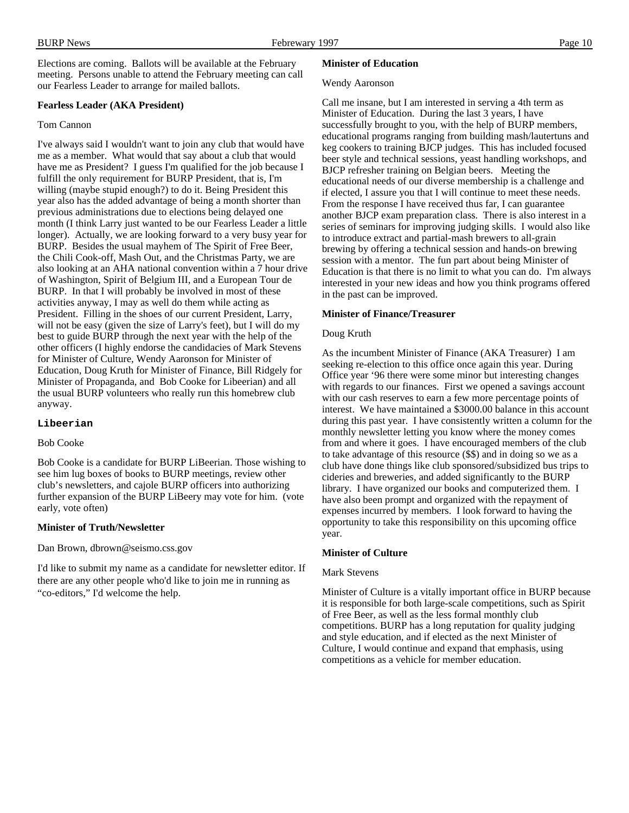Elections are coming. Ballots will be available at the February meeting. Persons unable to attend the February meeting can call our Fearless Leader to arrange for mailed ballots.

#### **Fearless Leader (AKA President)**

#### Tom Cannon

I've always said I wouldn't want to join any club that would have me as a member. What would that say about a club that would have me as President? I guess I'm qualified for the job because I fulfill the only requirement for BURP President, that is, I'm willing (maybe stupid enough?) to do it. Being President this year also has the added advantage of being a month shorter than previous administrations due to elections being delayed one month (I think Larry just wanted to be our Fearless Leader a little longer). Actually, we are looking forward to a very busy year for BURP. Besides the usual mayhem of The Spirit of Free Beer, the Chili Cook-off, Mash Out, and the Christmas Party, we are also looking at an AHA national convention within a 7 hour drive of Washington, Spirit of Belgium III, and a European Tour de BURP. In that I will probably be involved in most of these activities anyway, I may as well do them while acting as President. Filling in the shoes of our current President, Larry, will not be easy (given the size of Larry's feet), but I will do my best to guide BURP through the next year with the help of the other officers (I highly endorse the candidacies of Mark Stevens for Minister of Culture, Wendy Aaronson for Minister of Education, Doug Kruth for Minister of Finance, Bill Ridgely for Minister of Propaganda, and Bob Cooke for Libeerian) and all the usual BURP volunteers who really run this homebrew club anyway.

#### **Libeerian**

#### Bob Cooke

Bob Cooke is a candidate for BURP LiBeerian. Those wishing to see him lug boxes of books to BURP meetings, review other club's newsletters, and cajole BURP officers into authorizing further expansion of the BURP LiBeery may vote for him. (vote early, vote often)

#### **Minister of Truth/Newsletter**

Dan Brown, dbrown@seismo.css.gov

I'd like to submit my name as a candidate for newsletter editor. If there are any other people who'd like to join me in running as "co-editors," I'd welcome the help.

#### **Minister of Education**

#### Wendy Aaronson

Call me insane, but I am interested in serving a 4th term as Minister of Education. During the last 3 years, I have successfully brought to you, with the help of BURP members, educational programs ranging from building mash/lautertuns and keg cookers to training BJCP judges. This has included focused beer style and technical sessions, yeast handling workshops, and BJCP refresher training on Belgian beers. Meeting the educational needs of our diverse membership is a challenge and if elected, I assure you that I will continue to meet these needs. From the response I have received thus far, I can guarantee another BJCP exam preparation class. There is also interest in a series of seminars for improving judging skills. I would also like to introduce extract and partial-mash brewers to all-grain brewing by offering a technical session and hands-on brewing session with a mentor. The fun part about being Minister of Education is that there is no limit to what you can do. I'm always interested in your new ideas and how you think programs offered in the past can be improved.

#### **Minister of Finance/Treasurer**

#### Doug Kruth

As the incumbent Minister of Finance (AKA Treasurer) I am seeking re-election to this office once again this year. During Office year '96 there were some minor but interesting changes with regards to our finances. First we opened a savings account with our cash reserves to earn a few more percentage points of interest. We have maintained a \$3000.00 balance in this account during this past year. I have consistently written a column for the monthly newsletter letting you know where the money comes from and where it goes. I have encouraged members of the club to take advantage of this resource (\$\$) and in doing so we as a club have done things like club sponsored/subsidized bus trips to cideries and breweries, and added significantly to the BURP library. I have organized our books and computerized them. I have also been prompt and organized with the repayment of expenses incurred by members. I look forward to having the opportunity to take this responsibility on this upcoming office year.

#### **Minister of Culture**

#### Mark Stevens

Minister of Culture is a vitally important office in BURP because it is responsible for both large-scale competitions, such as Spirit of Free Beer, as well as the less formal monthly club competitions. BURP has a long reputation for quality judging and style education, and if elected as the next Minister of Culture, I would continue and expand that emphasis, using competitions as a vehicle for member education.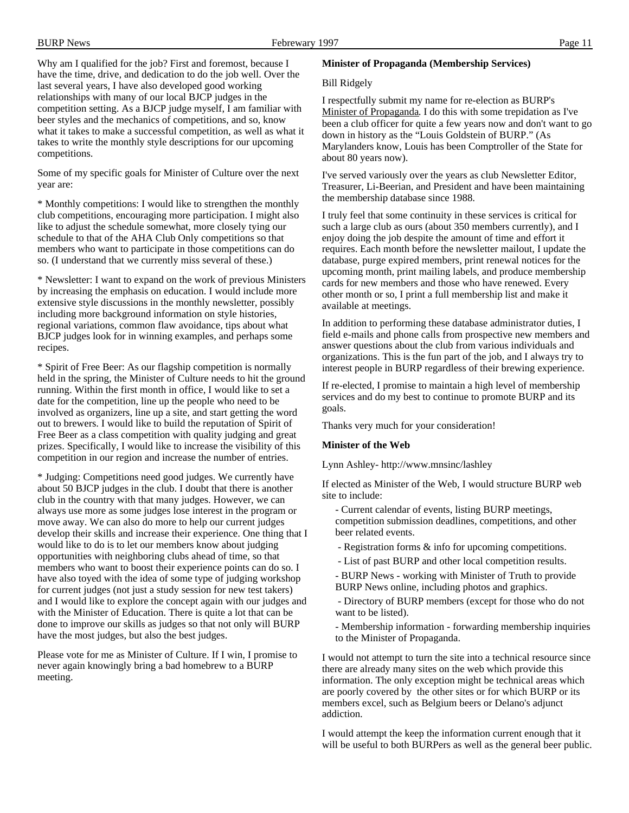Why am I qualified for the job? First and foremost, because I have the time, drive, and dedication to do the job well. Over the last several years, I have also developed good working relationships with many of our local BJCP judges in the competition setting. As a BJCP judge myself, I am familiar with beer styles and the mechanics of competitions, and so, know what it takes to make a successful competition, as well as what it takes to write the monthly style descriptions for our upcoming competitions.

Some of my specific goals for Minister of Culture over the next year are:

\* Monthly competitions: I would like to strengthen the monthly club competitions, encouraging more participation. I might also like to adjust the schedule somewhat, more closely tying our schedule to that of the AHA Club Only competitions so that members who want to participate in those competitions can do so. (I understand that we currently miss several of these.)

\* Newsletter: I want to expand on the work of previous Ministers by increasing the emphasis on education. I would include more extensive style discussions in the monthly newsletter, possibly including more background information on style histories, regional variations, common flaw avoidance, tips about what BJCP judges look for in winning examples, and perhaps some recipes.

\* Spirit of Free Beer: As our flagship competition is normally held in the spring, the Minister of Culture needs to hit the ground running. Within the first month in office, I would like to set a date for the competition, line up the people who need to be involved as organizers, line up a site, and start getting the word out to brewers. I would like to build the reputation of Spirit of Free Beer as a class competition with quality judging and great prizes. Specifically, I would like to increase the visibility of this competition in our region and increase the number of entries.

\* Judging: Competitions need good judges. We currently have about 50 BJCP judges in the club. I doubt that there is another club in the country with that many judges. However, we can always use more as some judges lose interest in the program or move away. We can also do more to help our current judges develop their skills and increase their experience. One thing that I would like to do is to let our members know about judging opportunities with neighboring clubs ahead of time, so that members who want to boost their experience points can do so. I have also toyed with the idea of some type of judging workshop for current judges (not just a study session for new test takers) and I would like to explore the concept again with our judges and with the Minister of Education. There is quite a lot that can be done to improve our skills as judges so that not only will BURP have the most judges, but also the best judges.

Please vote for me as Minister of Culture. If I win, I promise to never again knowingly bring a bad homebrew to a BURP meeting.

#### **Minister of Propaganda (Membership Services)**

#### Bill Ridgely

I respectfully submit my name for re-election as BURP's Minister of Propaganda . I do this with some trepidation as I've been a club officer for quite a few years now and don't want to go down in history as the "Louis Goldstein of BURP." (As Marylanders know, Louis has been Comptroller of the State for about 80 years now).

I've served variously over the years as club Newsletter Editor, Treasurer, Li-Beerian, and President and have been maintaining the membership database since 1988.

I truly feel that some continuity in these services is critical for such a large club as ours (about 350 members currently), and I enjoy doing the job despite the amount of time and effort it requires. Each month before the newsletter mailout, I update the database, purge expired members, print renewal notices for the upcoming month, print mailing labels, and produce membership cards for new members and those who have renewed. Every other month or so, I print a full membership list and make it available at meetings.

In addition to performing these database administrator duties, I field e-mails and phone calls from prospective new members and answer questions about the club from various individuals and organizations. This is the fun part of the job, and I always try to interest people in BURP regardless of their brewing experience.

If re-elected, I promise to maintain a high level of membership services and do my best to continue to promote BURP and its goals.

Thanks very much for your consideration!

#### **Minister of the Web**

Lynn Ashley- http://www.mnsinc/lashley

If elected as Minister of the Web, I would structure BURP web site to include:

- Current calendar of events, listing BURP meetings, competition submission deadlines, competitions, and other beer related events.

- Registration forms & info for upcoming competitions.

- List of past BURP and other local competition results.

- BURP News - working with Minister of Truth to provide BURP News online, including photos and graphics.

 - Directory of BURP members (except for those who do not want to be listed).

- Membership information - forwarding membership inquiries to the Minister of Propaganda.

I would not attempt to turn the site into a technical resource since there are already many sites on the web which provide this information. The only exception might be technical areas which are poorly covered by the other sites or for which BURP or its members excel, such as Belgium beers or Delano's adjunct addiction.

I would attempt the keep the information current enough that it will be useful to both BURPers as well as the general beer public.